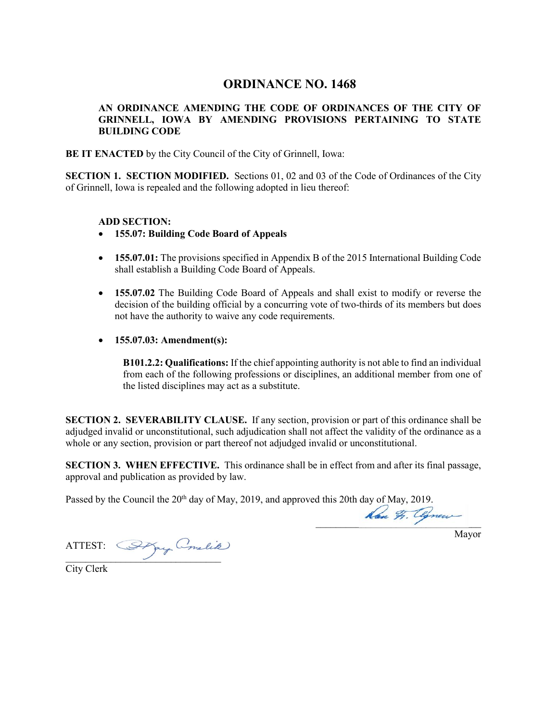## **ORDINANCE NO. 1468**

## **AN ORDINANCE AMENDING THE CODE OF ORDINANCES OF THE CITY OF GRINNELL, IOWA BY AMENDING PROVISIONS PERTAINING TO STATE BUILDING CODE**

**BE IT ENACTED** by the City Council of the City of Grinnell, Iowa:

**SECTION 1. SECTION MODIFIED.** Sections 01, 02 and 03 of the Code of Ordinances of the City of Grinnell, Iowa is repealed and the following adopted in lieu thereof:

## **ADD SECTION:**

- **155.07: Building Code Board of Appeals**
- **155.07.01:** The provisions specified in Appendix B of the 2015 International Building Code shall establish a Building Code Board of Appeals.
- **155.07.02** The Building Code Board of Appeals and shall exist to modify or reverse the decision of the building official by a concurring vote of two-thirds of its members but does not have the authority to waive any code requirements.
- **155.07.03: Amendment(s):**

**B101.2.2: Qualifications:** If the chief appointing authority is not able to find an individual from each of the following professions or disciplines, an additional member from one of the listed disciplines may act as a substitute.

**SECTION 2. SEVERABILITY CLAUSE.** If any section, provision or part of this ordinance shall be adjudged invalid or unconstitutional, such adjudication shall not affect the validity of the ordinance as a whole or any section, provision or part thereof not adjudged invalid or unconstitutional.

**SECTION 3. WHEN EFFECTIVE.** This ordinance shall be in effect from and after its final passage, approval and publication as provided by law.

Passed by the Council the 20<sup>th</sup> day of May, 2019, and approved this 20th day of May, 2019.

 $\frac{1}{2}$ 

Mayor

ATTEST:  $\overline{\phantom{a}}$ 

City Clerk